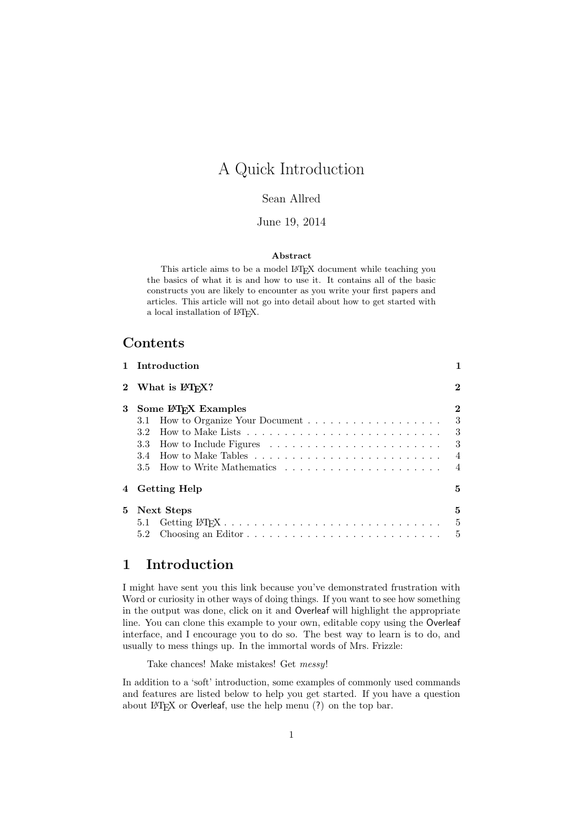# A Quick Introduction

#### Sean Allred

#### June 19, 2014

#### Abstract

This article aims to be a model LATEX document while teaching you the basics of what it is and how to use it. It contains all of the basic constructs you are likely to encounter as you write your first papers and articles. This article will not go into detail about how to get started with a local installation of L<sup>AT</sup>EX.

### Contents

|             | 1 Introduction                          |                                                                |
|-------------|-----------------------------------------|----------------------------------------------------------------|
|             | 2 What is LAT <sub>F</sub> X?           | $\bf{2}$                                                       |
| 3           | Some LAT <sub>F</sub> X Examples<br>3.2 | $\bf{2}$<br>-3<br>- 3<br>3<br>$\overline{4}$<br>$\overline{4}$ |
| $\mathbf 4$ | <b>Getting Help</b>                     | 5                                                              |
| 5.          | Next Steps<br>5.1<br>5.2                | 5<br>5<br>5                                                    |

# <span id="page-0-0"></span>1 Introduction

I might have sent you this link because you've demonstrated frustration with Word or curiosity in other ways of doing things. If you want to see how something in the output was done, click on it and Overleaf will highlight the appropriate line. You can clone this example to your own, editable copy using the Overleaf interface, and I encourage you to do so. The best way to learn is to do, and usually to mess things up. In the immortal words of Mrs. Frizzle:

Take chances! Make mistakes! Get messy!

In addition to a 'soft' introduction, some examples of commonly used commands and features are listed below to help you get started. If you have a question about LATEX or Overleaf, use the help menu (?) on the top bar.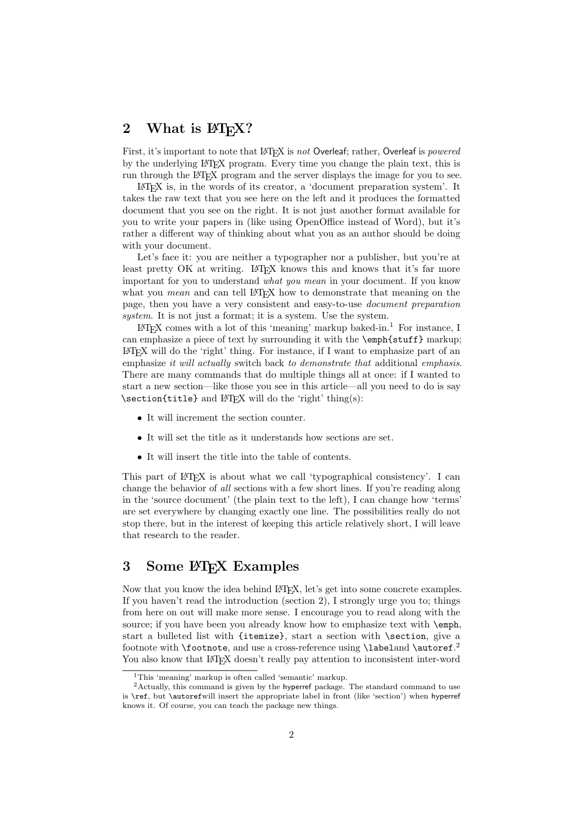## <span id="page-1-0"></span>2 What is  $\mathbb{P}\mathbb{F}X$ ?

First, it's important to note that LAT<sub>EX</sub> is not Overleaf; rather, Overleaf is powered by the underlying LATEX program. Every time you change the plain text, this is run through the LATEX program and the server displays the image for you to see.

LATEX is, in the words of its creator, a 'document preparation system'. It takes the raw text that you see here on the left and it produces the formatted document that you see on the right. It is not just another format available for you to write your papers in (like using OpenOffice instead of Word), but it's rather a different way of thinking about what you as an author should be doing with your document.

Let's face it: you are neither a typographer nor a publisher, but you're at least pretty OK at writing. LAT<sub>EX</sub> knows this and knows that it's far more important for you to understand what you mean in your document. If you know what you *mean* and can tell LAT<sub>EX</sub> how to demonstrate that meaning on the page, then you have a very consistent and easy-to-use document preparation system. It is not just a format; it is a system. Use the system.

 $\Delta F$ <sub>EX</sub> comes with a lot of this 'meaning' markup baked-in.<sup>[1](#page-1-2)</sup> For instance, I can emphasize a piece of text by surrounding it with the  $\emptyset$  markup; LATEX will do the 'right' thing. For instance, if I want to emphasize part of an emphasize it will actually switch back to demonstrate that additional emphasis. There are many commands that do multiple things all at once: if I wanted to start a new section—like those you see in this article—all you need to do is say \section{title} and LATEX will do the 'right' thing(s):

- It will increment the section counter.
- It will set the title as it understands how sections are set.
- It will insert the title into the table of contents.

This part of LAT<sub>EX</sub> is about what we call 'typographical consistency'. I can change the behavior of all sections with a few short lines. If you're reading along in the 'source document' (the plain text to the left), I can change how 'terms' are set everywhere by changing exactly one line. The possibilities really do not stop there, but in the interest of keeping this article relatively short, I will leave that research to the reader.

## <span id="page-1-1"></span>3 Some LAT<sub>EX</sub> Examples

Now that you know the idea behind LAT<sub>EX</sub>, let's get into some concrete examples. If you haven't read the introduction [\(section 2\)](#page-1-0), I strongly urge you to; things from here on out will make more sense. I encourage you to read along with the source; if you have been you already know how to emphasize text with  $\emptyset$ mph, start a bulleted list with {itemize}, start a section with \section, give a footnote with **\footnote**, and use a cross-reference using **\labeland \autoref.**<sup>[2](#page-1-3)</sup> You also know that LATEX doesn't really pay attention to inconsistent inter-word

<span id="page-1-3"></span><span id="page-1-2"></span><sup>1</sup>This 'meaning' markup is often called 'semantic' markup.

<sup>&</sup>lt;sup>2</sup>Actually, this command is given by the hyperref package. The standard command to use is \ref, but \autorefwill insert the appropriate label in front (like 'section') when hyperref knows it. Of course, you can teach the package new things.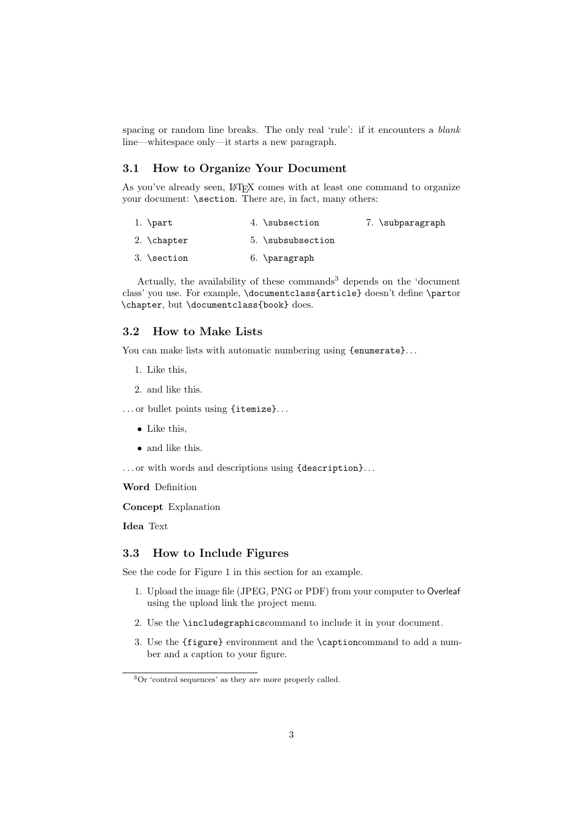spacing or random line breaks. The only real 'rule': if it encounters a *blank* line—whitespace only—it starts a new paragraph.

#### <span id="page-2-0"></span>3.1 How to Organize Your Document

As you've already seen, LATEX comes with at least one command to organize your document: **\section**. There are, in fact, many others:

| 1. $\part$           | 4. \subsection    | 7. \subparagraph |
|----------------------|-------------------|------------------|
| 2. $\lambda$ chapter | 5. \subsubsection |                  |
| $3.$ \section        | $6. \bar$         |                  |

Actually, the availability of these commands<sup>[3](#page-2-3)</sup> depends on the 'document class' you use. For example, \documentclass{article} doesn't define \partor \chapter, but \documentclass{book} does.

#### <span id="page-2-1"></span>3.2 How to Make Lists

You can make lists with automatic numbering using {enumerate}...

- 1. Like this,
- 2. and like this.

... or bullet points using {itemize}...

- Like this,
- and like this.

... or with words and descriptions using {description}...

Word Definition

Concept Explanation

Idea Text

#### <span id="page-2-2"></span>3.3 How to Include Figures

See the code for [Figure 1](#page-3-2) in this section for an example.

- 1. Upload the image file (JPEG, PNG or PDF) from your computer to Overleaf using the upload link the project menu.
- 2. Use the \includegraphicscommand to include it in your document.
- 3. Use the {figure} environment and the \captioncommand to add a number and a caption to your figure.

<span id="page-2-3"></span><sup>3</sup>Or 'control sequences' as they are more properly called.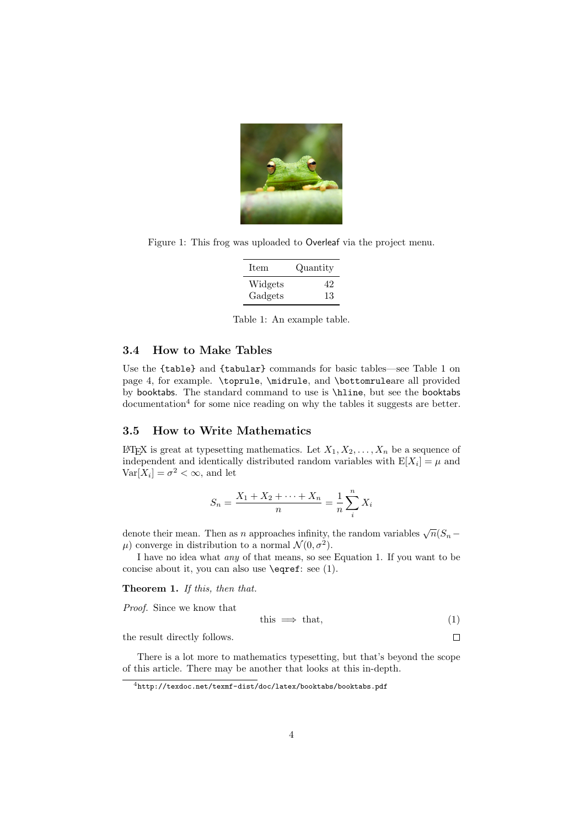

Figure 1: This frog was uploaded to Overleaf via the project menu.

<span id="page-3-2"></span>

| Item    | Quantity |
|---------|----------|
| Widgets | 42       |
| Gadgets | 13       |

<span id="page-3-3"></span>Table 1: An example table.

#### <span id="page-3-0"></span>3.4 How to Make Tables

Use the {table} and {tabular} commands for basic tables—see [Table 1](#page-3-3) on page [4,](#page-3-3) for example. \toprule, \midrule, and \bottomruleare all provided by booktabs. The standard command to use is \hline, but see the booktabs documentation<sup>[4](#page-3-4)</sup> for some nice reading on why the tables it suggests are better.

#### <span id="page-3-1"></span>3.5 How to Write Mathematics

LATEX is great at typesetting mathematics. Let  $X_1, X_2, \ldots, X_n$  be a sequence of independent and identically distributed random variables with  $E[X_i] = \mu$  and  $\text{Var}[X_i] = \sigma^2 < \infty$ , and let

$$
S_n = \frac{X_1 + X_2 + \dots + X_n}{n} = \frac{1}{n} \sum_{i=1}^{n} X_i
$$

denote their mean. Then as n approaches infinity, the random variables  $\sqrt{n}(S_n \mu$ ) converge in distribution to a normal  $\mathcal{N}(0, \sigma^2)$ .

I have no idea what any of that means, so see [Equation 1.](#page-3-5) If you want to be concise about it, you can also use \eqref: see [\(1\)](#page-3-5).

Theorem 1. If this, then that.

Proof. Since we know that

<span id="page-3-5"></span>
$$
this \implies that,\tag{1}
$$

 $\Box$ 

the result directly follows.

There is a lot more to mathematics typesetting, but that's beyond the scope of this article. There may be another that looks at this in-depth.

<span id="page-3-4"></span><sup>4</sup><http://texdoc.net/texmf-dist/doc/latex/booktabs/booktabs.pdf>